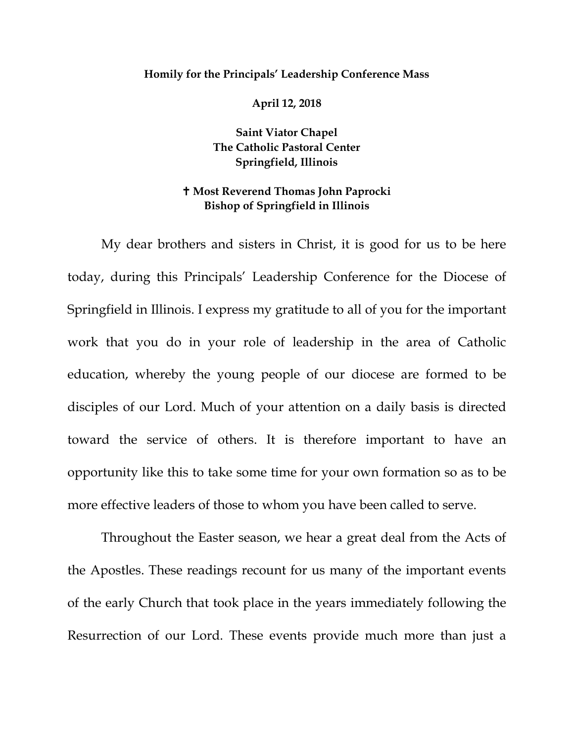## **Homily for the Principals' Leadership Conference Mass**

**April 12, 2018**

**Saint Viator Chapel The Catholic Pastoral Center Springfield, Illinois**

## **Most Reverend Thomas John Paprocki Bishop of Springfield in Illinois**

My dear brothers and sisters in Christ, it is good for us to be here today, during this Principals' Leadership Conference for the Diocese of Springfield in Illinois. I express my gratitude to all of you for the important work that you do in your role of leadership in the area of Catholic education, whereby the young people of our diocese are formed to be disciples of our Lord. Much of your attention on a daily basis is directed toward the service of others. It is therefore important to have an opportunity like this to take some time for your own formation so as to be more effective leaders of those to whom you have been called to serve.

Throughout the Easter season, we hear a great deal from the Acts of the Apostles. These readings recount for us many of the important events of the early Church that took place in the years immediately following the Resurrection of our Lord. These events provide much more than just a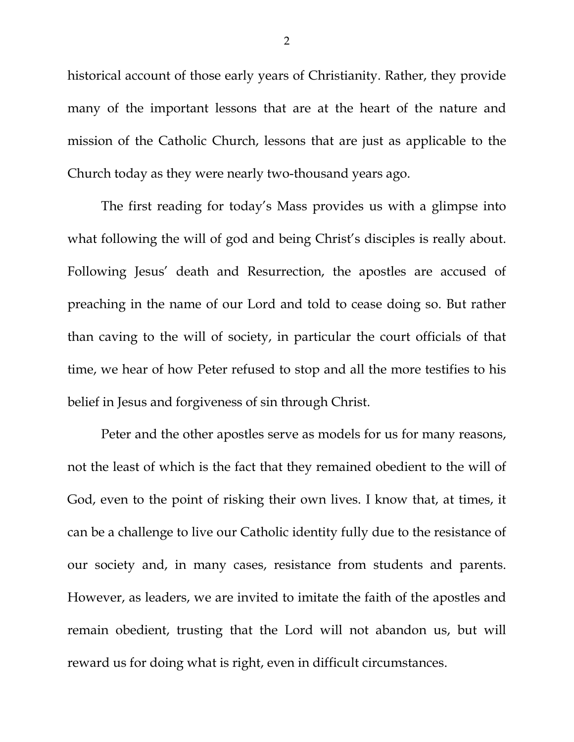historical account of those early years of Christianity. Rather, they provide many of the important lessons that are at the heart of the nature and mission of the Catholic Church, lessons that are just as applicable to the Church today as they were nearly two-thousand years ago.

The first reading for today's Mass provides us with a glimpse into what following the will of god and being Christ's disciples is really about. Following Jesus' death and Resurrection, the apostles are accused of preaching in the name of our Lord and told to cease doing so. But rather than caving to the will of society, in particular the court officials of that time, we hear of how Peter refused to stop and all the more testifies to his belief in Jesus and forgiveness of sin through Christ.

Peter and the other apostles serve as models for us for many reasons, not the least of which is the fact that they remained obedient to the will of God, even to the point of risking their own lives. I know that, at times, it can be a challenge to live our Catholic identity fully due to the resistance of our society and, in many cases, resistance from students and parents. However, as leaders, we are invited to imitate the faith of the apostles and remain obedient, trusting that the Lord will not abandon us, but will reward us for doing what is right, even in difficult circumstances.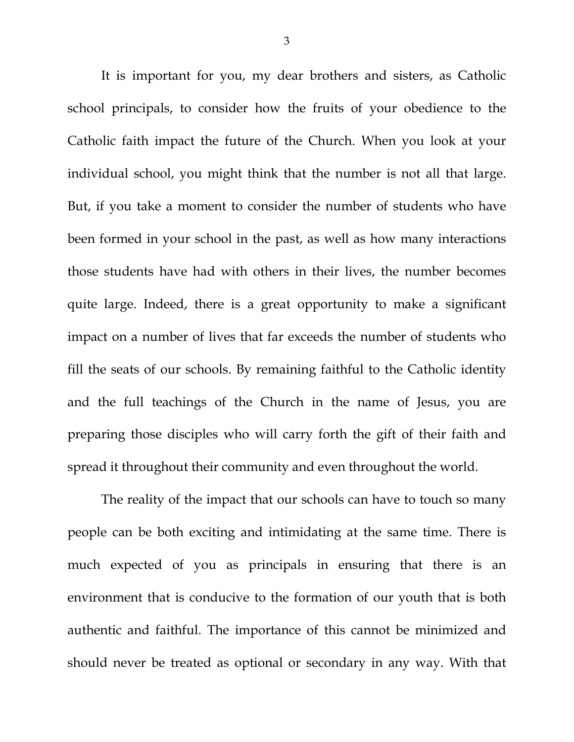It is important for you, my dear brothers and sisters, as Catholic school principals, to consider how the fruits of your obedience to the Catholic faith impact the future of the Church. When you look at your individual school, you might think that the number is not all that large. But, if you take a moment to consider the number of students who have been formed in your school in the past, as well as how many interactions those students have had with others in their lives, the number becomes quite large. Indeed, there is a great opportunity to make a significant impact on a number of lives that far exceeds the number of students who fill the seats of our schools. By remaining faithful to the Catholic identity and the full teachings of the Church in the name of Jesus, you are preparing those disciples who will carry forth the gift of their faith and spread it throughout their community and even throughout the world.

The reality of the impact that our schools can have to touch so many people can be both exciting and intimidating at the same time. There is much expected of you as principals in ensuring that there is an environment that is conducive to the formation of our youth that is both authentic and faithful. The importance of this cannot be minimized and should never be treated as optional or secondary in any way. With that